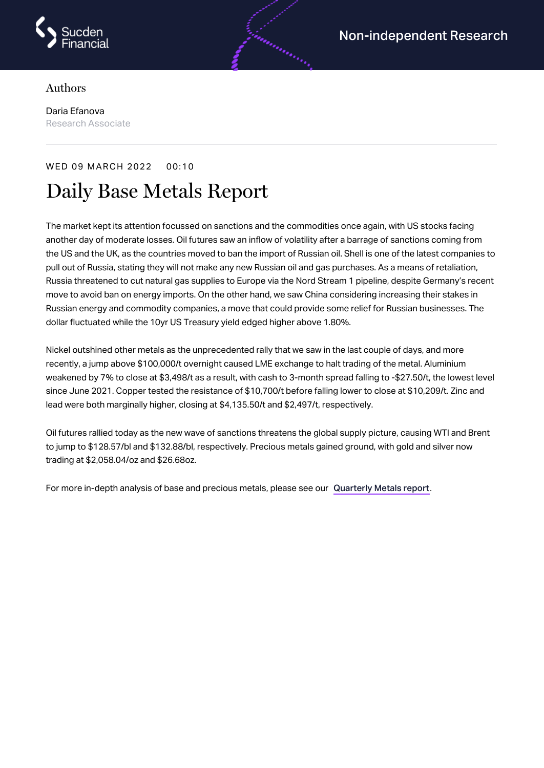

## Authors

Daria Efanova Research Associate

## WED 09 MARCH 2022 00:10

## Daily Base Metals Report

The market kept its attention focussed on sanctions and the commodities once again, with US stocks facing another day of moderate losses. Oil futures saw an inflow of volatility after a barrage of sanctions coming from the US and the UK, as the countries moved to ban the import of Russian oil. Shell is one of the latest companies to pull out of Russia, stating they will not make any new Russian oil and gas purchases. As a means of retaliation, Russia threatened to cut natural gas supplies to Europe via the Nord Stream 1 pipeline, despite Germany's recent move to avoid ban on energy imports. On the other hand, we saw China considering increasing their stakes in Russian energy and commodity companies, a move that could provide some relief for Russian businesses. The dollar fluctuated while the 10yr US Treasury yield edged higher above 1.80%.

androning

Nickel outshined other metals as the unprecedented rally that we saw in the last couple of days, and more recently, a jump above \$100,000/t overnight caused LME exchange to halt trading of the metal. Aluminium weakened by 7% to close at \$3,498/t as a result, with cash to 3-month spread falling to -\$27.50/t, the lowest level since June 2021. Copper tested the resistance of \$10,700/t before falling lower to close at \$10,209/t. Zinc and lead were both marginally higher, closing at \$4,135.50/t and \$2,497/t, respectively.

Oil futures rallied today as the new wave of sanctions threatens the global supply picture, causing WTI and Brent to jump to \$128.57/bl and \$132.88/bl, respectively. Precious metals gained ground, with gold and silver now trading at \$2,058.04/oz and \$26.68oz.

For more in-depth analysis of base and precious metals, please see our [Quarterly](https://www.sucdenfinancial.com/en/reports/quarterly-metals/qmr-q1-2022/) Metals report.